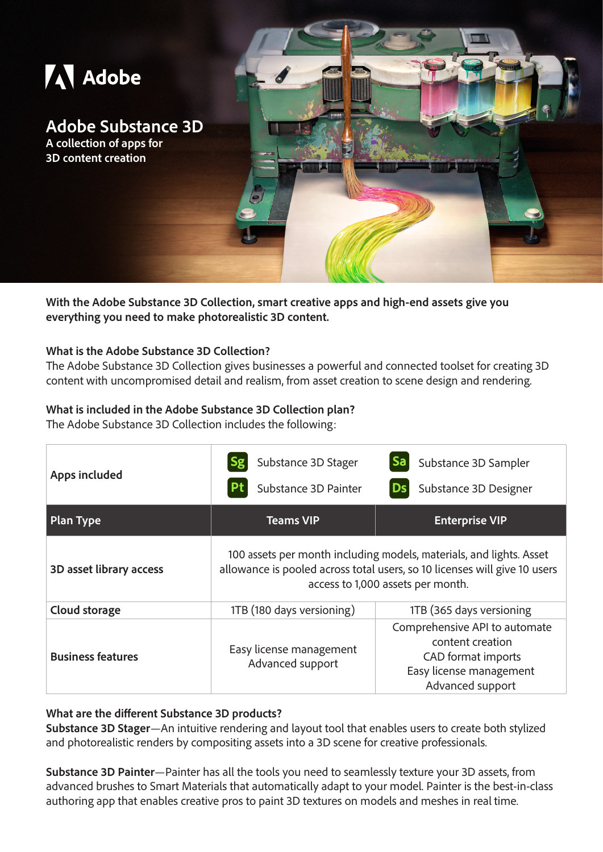

**With the Adobe Substance 3D Collection, smart creative apps and high-end assets give you everything you need to make photorealistic 3D content.**

# **What is the Adobe Substance 3D Collection?**

The Adobe Substance 3D Collection gives businesses a powerful and connected toolset for creating 3D content with uncompromised detail and realism, from asset creation to scene design and rendering.

# **What is included in the Adobe Substance 3D Collection plan?**

The Adobe Substance 3D Collection includes the following:

| Apps included            | Substance 3D Stager                                                                                                                                                                   | Substance 3D Sampler                                                                                                   |
|--------------------------|---------------------------------------------------------------------------------------------------------------------------------------------------------------------------------------|------------------------------------------------------------------------------------------------------------------------|
|                          | Substance 3D Painter                                                                                                                                                                  | Substance 3D Designer<br><b>Ds</b>                                                                                     |
| <b>Plan Type</b>         | <b>Teams VIP</b>                                                                                                                                                                      | <b>Enterprise VIP</b>                                                                                                  |
| 3D asset library access  | 100 assets per month including models, materials, and lights. Asset<br>allowance is pooled across total users, so 10 licenses will give 10 users<br>access to 1,000 assets per month. |                                                                                                                        |
| Cloud storage            | 1TB (180 days versioning)                                                                                                                                                             | 1TB (365 days versioning                                                                                               |
| <b>Business features</b> | Easy license management<br>Advanced support                                                                                                                                           | Comprehensive API to automate<br>content creation<br>CAD format imports<br>Easy license management<br>Advanced support |

## **What are the different Substance 3D products?**

**Substance 3D Stager**—An intuitive rendering and layout tool that enables users to create both stylized and photorealistic renders by compositing assets into a 3D scene for creative professionals.

**Substance 3D Painter**—Painter has all the tools you need to seamlessly texture your 3D assets, from advanced brushes to Smart Materials that automatically adapt to your model. Painter is the best-in-class authoring app that enables creative pros to paint 3D textures on models and meshes in real time.